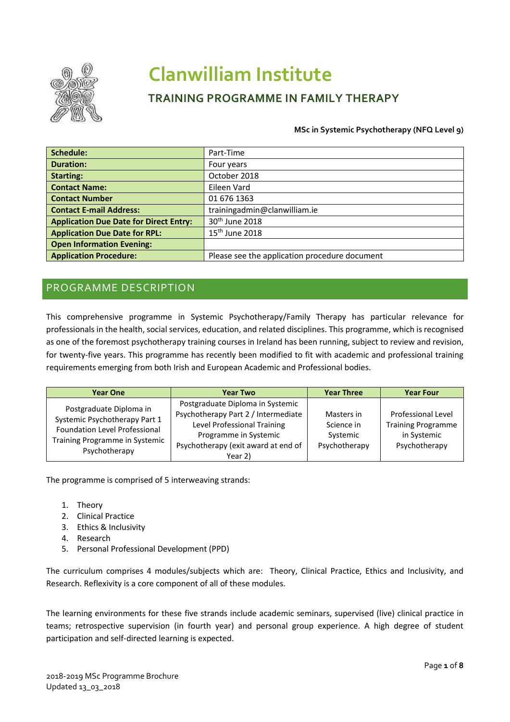

# **Clanwilliam Institute**

# **TRAINING PROGRAMME IN FAMILY THERAPY**

#### **MSc in Systemic Psychotherapy (NFQ Level 9)**

| Schedule:                                     | Part-Time                                     |
|-----------------------------------------------|-----------------------------------------------|
| <b>Duration:</b>                              | Four years                                    |
| <b>Starting:</b>                              | October 2018                                  |
| <b>Contact Name:</b>                          | Eileen Vard                                   |
| <b>Contact Number</b>                         | 01 676 1363                                   |
| <b>Contact E-mail Address:</b>                | trainingadmin@clanwilliam.ie                  |
| <b>Application Due Date for Direct Entry:</b> | 30th June 2018                                |
| <b>Application Due Date for RPL:</b>          | $15th$ June 2018                              |
| <b>Open Information Evening:</b>              |                                               |
| <b>Application Procedure:</b>                 | Please see the application procedure document |

# PROGRAMME DESCRIPTION

This comprehensive programme in Systemic Psychotherapy/Family Therapy has particular relevance for professionals in the health, social services, education, and related disciplines. This programme, which is recognised as one of the foremost psychotherapy training courses in Ireland has been running, subject to review and revision, for twenty-five years. This programme has recently been modified to fit with academic and professional training requirements emerging from both Irish and European Academic and Professional bodies.

| <b>Year One</b>                                                                                                                                     | <b>Year Two</b>                                                                                                                                                                   | <b>Year Three</b>                                     | <b>Year Four</b>                                                                       |
|-----------------------------------------------------------------------------------------------------------------------------------------------------|-----------------------------------------------------------------------------------------------------------------------------------------------------------------------------------|-------------------------------------------------------|----------------------------------------------------------------------------------------|
| Postgraduate Diploma in<br>Systemic Psychotherapy Part 1<br><b>Foundation Level Professional</b><br>Training Programme in Systemic<br>Psychotherapy | Postgraduate Diploma in Systemic<br>Psychotherapy Part 2 / Intermediate<br>Level Professional Training<br>Programme in Systemic<br>Psychotherapy (exit award at end of<br>Year 2) | Masters in<br>Science in<br>Systemic<br>Psychotherapy | <b>Professional Level</b><br><b>Training Programme</b><br>in Systemic<br>Psychotherapy |

The programme is comprised of 5 interweaving strands:

- 1. Theory
- 2. Clinical Practice
- 3. Ethics & Inclusivity
- 4. Research
- 5. Personal Professional Development (PPD)

The curriculum comprises 4 modules/subjects which are: Theory, Clinical Practice, Ethics and Inclusivity, and Research. Reflexivity is a core component of all of these modules.

The learning environments for these five strands include academic seminars, supervised (live) clinical practice in teams; retrospective supervision (in fourth year) and personal group experience. A high degree of student participation and self-directed learning is expected.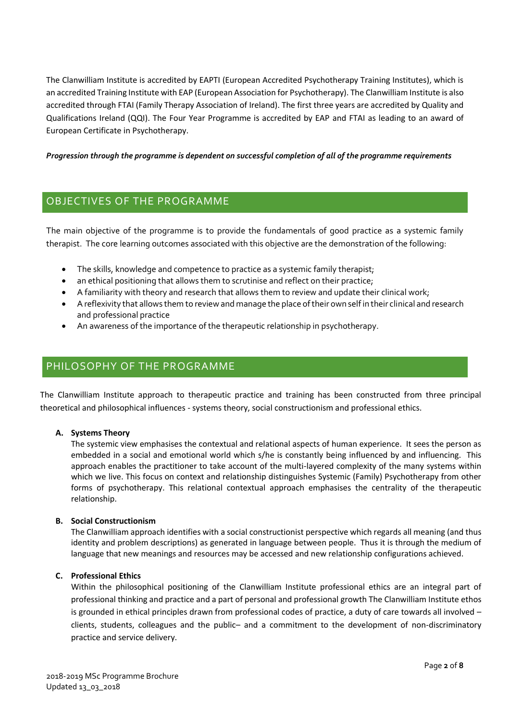The Clanwilliam Institute is accredited by EAPTI (European Accredited Psychotherapy Training Institutes), which is an accredited Training Institute with EAP (European Association for Psychotherapy). The Clanwilliam Institute is also accredited through FTAI (Family Therapy Association of Ireland). The first three years are accredited by Quality and Qualifications Ireland (QQI). The Four Year Programme is accredited by EAP and FTAI as leading to an award of European Certificate in Psychotherapy.

#### *Progression through the programme is dependent on successful completion of all of the programme requirements*

## OBJECTIVES OF THE PROGRAMME

The main objective of the programme is to provide the fundamentals of good practice as a systemic family therapist. The core learning outcomes associated with this objective are the demonstration of the following:

- The skills, knowledge and competence to practice as a systemic family therapist;
- an ethical positioning that allows them to scrutinise and reflect on their practice;
- A familiarity with theory and research that allows them to review and update their clinical work;
- A reflexivity that allows them to review and manage the place of their own self in their clinical and research and professional practice
- An awareness of the importance of the therapeutic relationship in psychotherapy.

## PHILOSOPHY OF THE PROGRAMME

The Clanwilliam Institute approach to therapeutic practice and training has been constructed from three principal theoretical and philosophical influences - systems theory, social constructionism and professional ethics.

#### **A. Systems Theory**

The systemic view emphasises the contextual and relational aspects of human experience. It sees the person as embedded in a social and emotional world which s/he is constantly being influenced by and influencing. This approach enables the practitioner to take account of the multi-layered complexity of the many systems within which we live. This focus on context and relationship distinguishes Systemic (Family) Psychotherapy from other forms of psychotherapy. This relational contextual approach emphasises the centrality of the therapeutic relationship.

#### **B. Social Constructionism**

The Clanwilliam approach identifies with a social constructionist perspective which regards all meaning (and thus identity and problem descriptions) as generated in language between people. Thus it is through the medium of language that new meanings and resources may be accessed and new relationship configurations achieved.

#### **C. Professional Ethics**

Within the philosophical positioning of the Clanwilliam Institute professional ethics are an integral part of professional thinking and practice and a part of personal and professional growth The Clanwilliam Institute ethos is grounded in ethical principles drawn from professional codes of practice, a duty of care towards all involved – clients, students, colleagues and the public– and a commitment to the development of non-discriminatory practice and service delivery.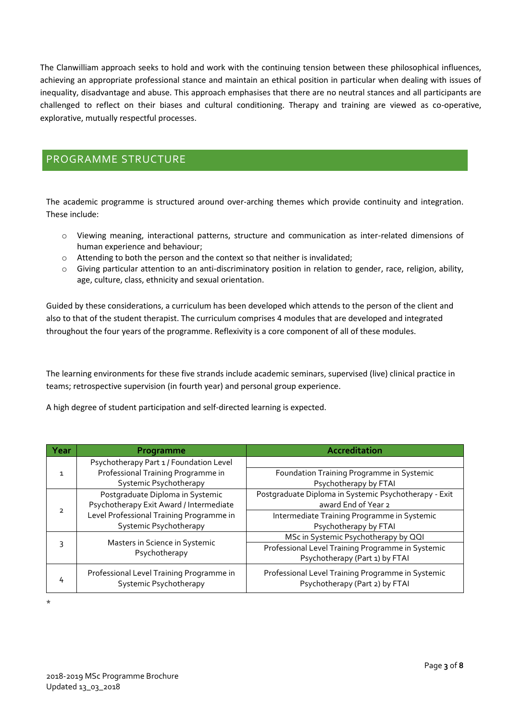The Clanwilliam approach seeks to hold and work with the continuing tension between these philosophical influences, achieving an appropriate professional stance and maintain an ethical position in particular when dealing with issues of inequality, disadvantage and abuse. This approach emphasises that there are no neutral stances and all participants are challenged to reflect on their biases and cultural conditioning. Therapy and training are viewed as co-operative, explorative, mutually respectful processes.

# PROGRAMME STRUCTURE

The academic programme is structured around over-arching themes which provide continuity and integration. These include:

- o Viewing meaning, interactional patterns, structure and communication as inter-related dimensions of human experience and behaviour;
- o Attending to both the person and the context so that neither is invalidated;
- o Giving particular attention to an anti-discriminatory position in relation to gender, race, religion, ability, age, culture, class, ethnicity and sexual orientation.

Guided by these considerations, a curriculum has been developed which attends to the person of the client and also to that of the student therapist. The curriculum comprises 4 modules that are developed and integrated throughout the four years of the programme. Reflexivity is a core component of all of these modules.

The learning environments for these five strands include academic seminars, supervised (live) clinical practice in teams; retrospective supervision (in fourth year) and personal group experience.

A high degree of student participation and self-directed learning is expected.

| Year | Programme                                                          | Accreditation                                                                       |
|------|--------------------------------------------------------------------|-------------------------------------------------------------------------------------|
|      | Psychotherapy Part 1 / Foundation Level                            |                                                                                     |
|      | Professional Training Programme in                                 | Foundation Training Programme in Systemic                                           |
|      | Systemic Psychotherapy                                             | Psychotherapy by FTAI                                                               |
|      | Postgraduate Diploma in Systemic                                   | Postgraduate Diploma in Systemic Psychotherapy - Exit                               |
|      | Psychotherapy Exit Award / Intermediate                            | award End of Year 2                                                                 |
|      | Level Professional Training Programme in                           | Intermediate Training Programme in Systemic                                         |
|      | Systemic Psychotherapy                                             | Psychotherapy by FTAI                                                               |
| 3    |                                                                    | MSc in Systemic Psychotherapy by QQI                                                |
|      | Masters in Science in Systemic<br>Psychotherapy                    | Professional Level Training Programme in Systemic                                   |
|      |                                                                    | Psychotherapy (Part 1) by FTAI                                                      |
| 4    | Professional Level Training Programme in<br>Systemic Psychotherapy | Professional Level Training Programme in Systemic<br>Psychotherapy (Part 2) by FTAI |

\*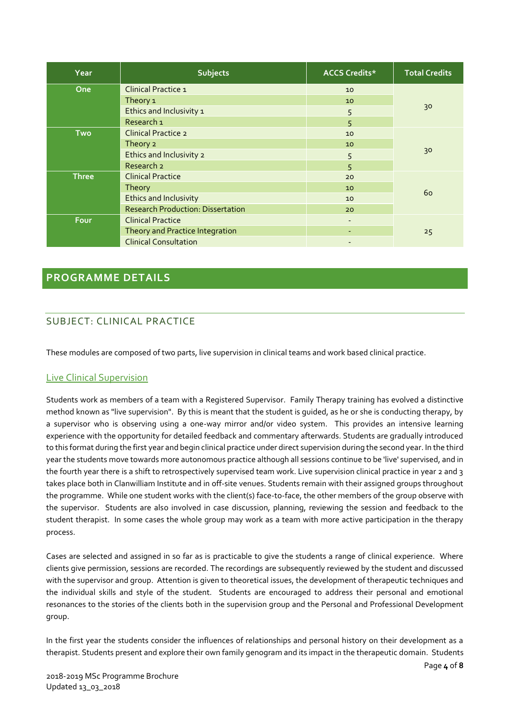| Year                              | <b>Subjects</b>                            | <b>ACCS Credits*</b> | <b>Total Credits</b> |  |
|-----------------------------------|--------------------------------------------|----------------------|----------------------|--|
| <b>Clinical Practice 1</b><br>One |                                            | 10                   |                      |  |
|                                   | Theory 1<br>Ethics and Inclusivity 1       |                      | 30                   |  |
|                                   |                                            |                      |                      |  |
|                                   | Research <sub>1</sub>                      | 5                    |                      |  |
| <b>Two</b>                        | <b>Clinical Practice 2</b>                 | 10                   |                      |  |
|                                   | Theory 2                                   | 10                   |                      |  |
|                                   | Ethics and Inclusivity 2                   | 5                    | 30                   |  |
|                                   | Research 2                                 | 5                    |                      |  |
| <b>Three</b>                      | <b>Clinical Practice</b>                   |                      |                      |  |
|                                   | Theory                                     | 10                   |                      |  |
|                                   | <b>Ethics and Inclusivity</b>              | 10                   | 60                   |  |
|                                   | <b>Research Production: Dissertation</b>   | 20                   |                      |  |
| Four                              | <b>Clinical Practice</b>                   | $\sim$               |                      |  |
|                                   | Theory and Practice Integration<br>25<br>٠ |                      |                      |  |
|                                   | <b>Clinical Consultation</b>               |                      |                      |  |

## **PROGRAMME DETAILS**

## SUBJECT: CLINICAL PRACTICE

These modules are composed of two parts, live supervision in clinical teams and work based clinical practice.

### Live Clinical Supervision

Students work as members of a team with a Registered Supervisor. Family Therapy training has evolved a distinctive method known as "live supervision". By this is meant that the student is guided, as he or she is conducting therapy, by a supervisor who is observing using a one-way mirror and/or video system. This provides an intensive learning experience with the opportunity for detailed feedback and commentary afterwards. Students are gradually introduced to this format during the first year and begin clinical practice under direct supervision during the second year. In the third year the students move towards more autonomous practice although all sessions continue to be 'live' supervised, and in the fourth year there is a shift to retrospectively supervised team work. Live supervision clinical practice in year 2 and 3 takes place both in Clanwilliam Institute and in off-site venues. Students remain with their assigned groups throughout the programme. While one student works with the client(s) face-to-face, the other members of the group observe with the supervisor. Students are also involved in case discussion, planning, reviewing the session and feedback to the student therapist. In some cases the whole group may work as a team with more active participation in the therapy process.

Cases are selected and assigned in so far as is practicable to give the students a range of clinical experience. Where clients give permission, sessions are recorded. The recordings are subsequently reviewed by the student and discussed with the supervisor and group. Attention is given to theoretical issues, the development of therapeutic techniques and the individual skills and style of the student. Students are encouraged to address their personal and emotional resonances to the stories of the clients both in the supervision group and the Personal and Professional Development group.

In the first year the students consider the influences of relationships and personal history on their development as a therapist. Students present and explore their own family genogram and its impact in the therapeutic domain. Students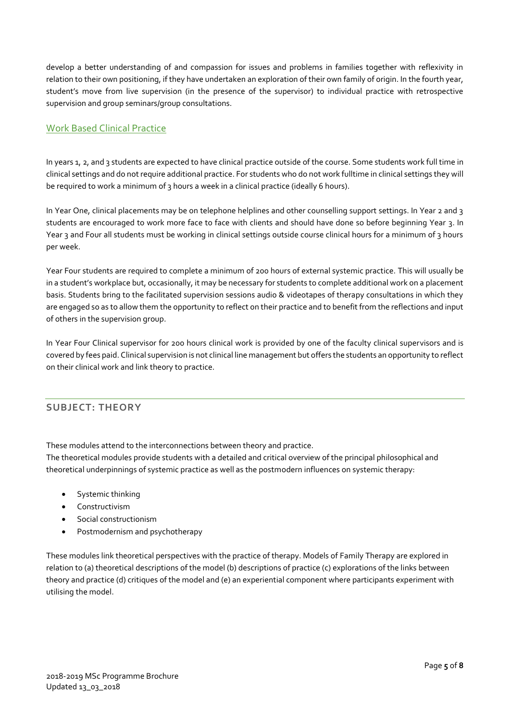develop a better understanding of and compassion for issues and problems in families together with reflexivity in relation to their own positioning, if they have undertaken an exploration of their own family of origin. In the fourth year, student's move from live supervision (in the presence of the supervisor) to individual practice with retrospective supervision and group seminars/group consultations.

## Work Based Clinical Practice

In years 1, 2, and 3 students are expected to have clinical practice outside of the course. Some students work full time in clinical settings and do not require additional practice. For students who do not work fulltime in clinical settings they will be required to work a minimum of 3 hours a week in a clinical practice (ideally 6 hours).

In Year One, clinical placements may be on telephone helplines and other counselling support settings. In Year 2 and 3 students are encouraged to work more face to face with clients and should have done so before beginning Year 3. In Year 3 and Four all students must be working in clinical settings outside course clinical hours for a minimum of 3 hours per week.

Year Four students are required to complete a minimum of 200 hours of external systemic practice. This will usually be in a student's workplace but, occasionally, it may be necessary for students to complete additional work on a placement basis. Students bring to the facilitated supervision sessions audio & videotapes of therapy consultations in which they are engaged so as to allow them the opportunity to reflect on their practice and to benefit from the reflections and input of others in the supervision group.

In Year Four Clinical supervisor for 200 hours clinical work is provided by one of the faculty clinical supervisors and is covered by fees paid. Clinical supervision is not clinical line management but offers the students an opportunity to reflect on their clinical work and link theory to practice.

## **SUBJECT: THEORY**

These modules attend to the interconnections between theory and practice.

The theoretical modules provide students with a detailed and critical overview of the principal philosophical and theoretical underpinnings of systemic practice as well as the postmodern influences on systemic therapy:

- Systemic thinking
- Constructivism
- Social constructionism
- Postmodernism and psychotherapy

These modules link theoretical perspectives with the practice of therapy. Models of Family Therapy are explored in relation to (a) theoretical descriptions of the model (b) descriptions of practice (c) explorations of the links between theory and practice (d) critiques of the model and (e) an experiential component where participants experiment with utilising the model.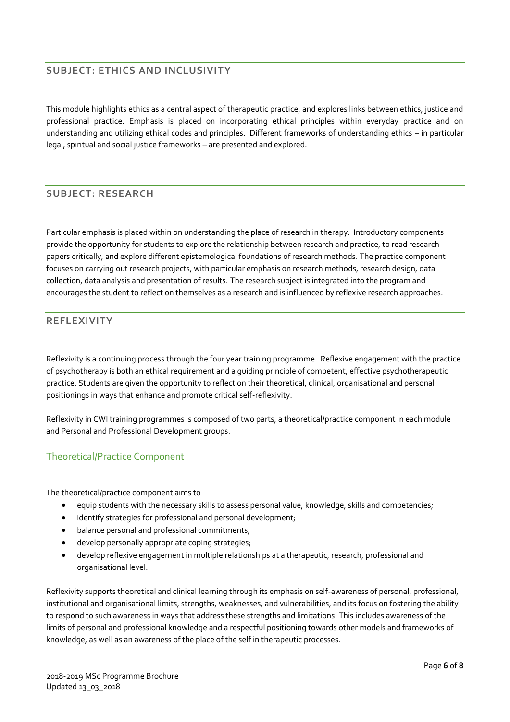## **SUBJECT: ETHICS AND INCLUSIVITY**

This module highlights ethics as a central aspect of therapeutic practice, and explores links between ethics, justice and professional practice. Emphasis is placed on incorporating ethical principles within everyday practice and on understanding and utilizing ethical codes and principles. Different frameworks of understanding ethics – in particular legal, spiritual and social justice frameworks – are presented and explored.

## **SUBJECT: RESEARCH**

Particular emphasis is placed within on understanding the place of research in therapy. Introductory components provide the opportunity for students to explore the relationship between research and practice, to read research papers critically, and explore different epistemological foundations of research methods. The practice component focuses on carrying out research projects, with particular emphasis on research methods, research design, data collection, data analysis and presentation of results. The research subject is integrated into the program and encourages the student to reflect on themselves as a research and is influenced by reflexive research approaches.

## **REFLEXIVITY**

Reflexivity is a continuing process through the four year training programme. Reflexive engagement with the practice of psychotherapy is both an ethical requirement and a guiding principle of competent, effective psychotherapeutic practice. Students are given the opportunity to reflect on their theoretical, clinical, organisational and personal positionings in ways that enhance and promote critical self-reflexivity.

Reflexivity in CWI training programmes is composed of two parts, a theoretical/practice component in each module and Personal and Professional Development groups.

### Theoretical/Practice Component

The theoretical/practice component aims to

- equip students with the necessary skills to assess personal value, knowledge, skills and competencies;
- identify strategies for professional and personal development;
- balance personal and professional commitments;
- develop personally appropriate coping strategies;
- develop reflexive engagement in multiple relationships at a therapeutic, research, professional and organisational level.

Reflexivity supports theoretical and clinical learning through its emphasis on self-awareness of personal, professional, institutional and organisational limits, strengths, weaknesses, and vulnerabilities, and its focus on fostering the ability to respond to such awareness in ways that address these strengths and limitations. This includes awareness of the limits of personal and professional knowledge and a respectful positioning towards other models and frameworks of knowledge, as well as an awareness of the place of the self in therapeutic processes.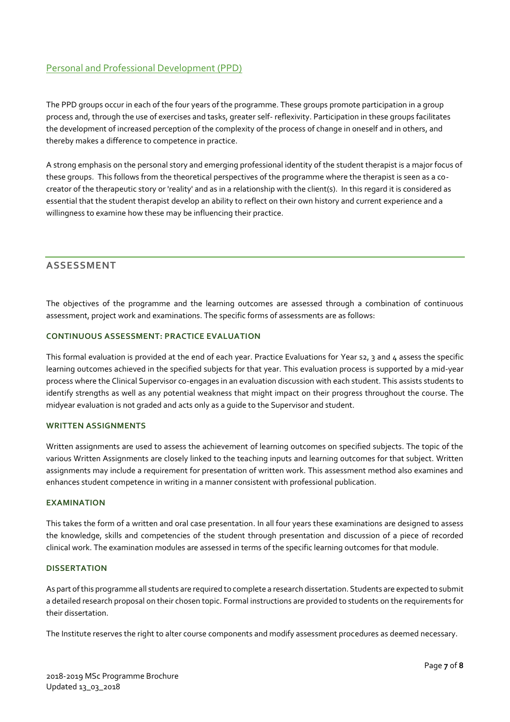## Personal and Professional Development (PPD)

The PPD groups occur in each of the four years of the programme. These groups promote participation in a group process and, through the use of exercises and tasks, greater self- reflexivity. Participation in these groups facilitates the development of increased perception of the complexity of the process of change in oneself and in others, and thereby makes a difference to competence in practice.

A strong emphasis on the personal story and emerging professional identity of the student therapist is a major focus of these groups. This follows from the theoretical perspectives of the programme where the therapist is seen as a cocreator of the therapeutic story or 'reality' and as in a relationship with the client(s). In this regard it is considered as essential that the student therapist develop an ability to reflect on their own history and current experience and a willingness to examine how these may be influencing their practice.

#### **ASSESSMENT**

The objectives of the programme and the learning outcomes are assessed through a combination of continuous assessment, project work and examinations. The specific forms of assessments are as follows:

#### **CONTINUOUS ASSESSMENT: PRACTICE EVALUATION**

This formal evaluation is provided at the end of each year. Practice Evaluations for Year s2, 3 and 4 assess the specific learning outcomes achieved in the specified subjects for that year. This evaluation process is supported by a mid-year process where the Clinical Supervisor co-engages in an evaluation discussion with each student. This assists students to identify strengths as well as any potential weakness that might impact on their progress throughout the course. The midyear evaluation is not graded and acts only as a guide to the Supervisor and student.

#### **WRITTEN ASSIGNMENTS**

Written assignments are used to assess the achievement of learning outcomes on specified subjects. The topic of the various Written Assignments are closely linked to the teaching inputs and learning outcomes for that subject. Written assignments may include a requirement for presentation of written work. This assessment method also examines and enhances student competence in writing in a manner consistent with professional publication.

#### **EXAMINATION**

This takes the form of a written and oral case presentation. In all four years these examinations are designed to assess the knowledge, skills and competencies of the student through presentation and discussion of a piece of recorded clinical work. The examination modules are assessed in terms of the specific learning outcomes for that module.

#### **DISSERTATION**

As part of this programme all students are required to complete a research dissertation. Students are expected to submit a detailed research proposal on their chosen topic. Formal instructions are provided to students on the requirements for their dissertation.

The Institute reserves the right to alter course components and modify assessment procedures as deemed necessary.